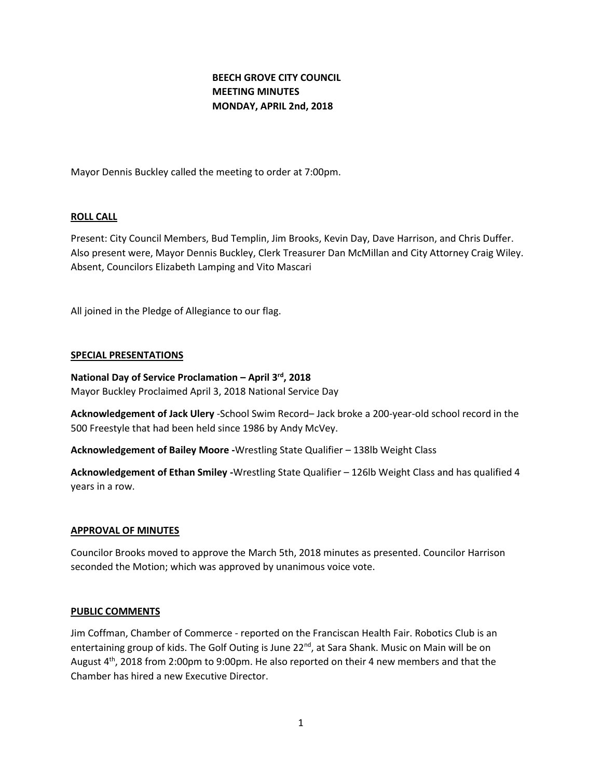# **BEECH GROVE CITY COUNCIL MEETING MINUTES MONDAY, APRIL 2nd, 2018**

Mayor Dennis Buckley called the meeting to order at 7:00pm.

## **ROLL CALL**

Present: City Council Members, Bud Templin, Jim Brooks, Kevin Day, Dave Harrison, and Chris Duffer. Also present were, Mayor Dennis Buckley, Clerk Treasurer Dan McMillan and City Attorney Craig Wiley. Absent, Councilors Elizabeth Lamping and Vito Mascari

All joined in the Pledge of Allegiance to our flag.

#### **SPECIAL PRESENTATIONS**

**National Day of Service Proclamation – April 3rd, 2018**  Mayor Buckley Proclaimed April 3, 2018 National Service Day

**Acknowledgement of Jack Ulery** -School Swim Record– Jack broke a 200-year-old school record in the 500 Freestyle that had been held since 1986 by Andy McVey.

**Acknowledgement of Bailey Moore -**Wrestling State Qualifier – 138lb Weight Class

**Acknowledgement of Ethan Smiley -**Wrestling State Qualifier – 126lb Weight Class and has qualified 4 years in a row.

#### **APPROVAL OF MINUTES**

Councilor Brooks moved to approve the March 5th, 2018 minutes as presented. Councilor Harrison seconded the Motion; which was approved by unanimous voice vote.

#### **PUBLIC COMMENTS**

Jim Coffman, Chamber of Commerce - reported on the Franciscan Health Fair. Robotics Club is an entertaining group of kids. The Golf Outing is June 22<sup>nd</sup>, at Sara Shank. Music on Main will be on August 4<sup>th</sup>, 2018 from 2:00pm to 9:00pm. He also reported on their 4 new members and that the Chamber has hired a new Executive Director.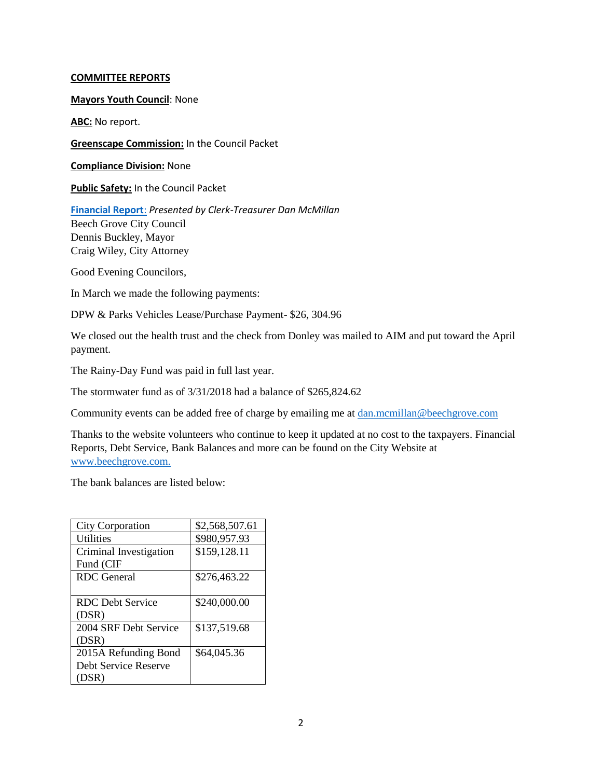### **COMMITTEE REPORTS**

**Mayors Youth Council**: None

**ABC:** No report.

**Greenscape Commission:** In the Council Packet

**Compliance Division:** None

**Public Safety:** In the Council Packet

**[Financial Report](http://www.beechgrove.com/uploads/1/0/1/2/10129925/april_2018_financial_report.pdf)**: *Presented by Clerk-Treasurer Dan McMillan* Beech Grove City Council Dennis Buckley, Mayor Craig Wiley, City Attorney

Good Evening Councilors,

In March we made the following payments:

DPW & Parks Vehicles Lease/Purchase Payment- \$26, 304.96

We closed out the health trust and the check from Donley was mailed to AIM and put toward the April payment.

The Rainy-Day Fund was paid in full last year.

The stormwater fund as of 3/31/2018 had a balance of \$265,824.62

Community events can be added free of charge by emailing me at [dan.mcmillan@beechgrove.com](mailto:dan.mcmillan@beechgrove.com)

Thanks to the website volunteers who continue to keep it updated at no cost to the taxpayers. Financial Reports, Debt Service, Bank Balances and more can be found on the City Website at [www.beechgrove.com.](file:///C:/Users/dan/Documents/www.beechgrove.com)

The bank balances are listed below:

| <b>City Corporation</b> | \$2,568,507.61 |
|-------------------------|----------------|
| Utilities               | \$980,957.93   |
| Criminal Investigation  | \$159,128.11   |
| Fund (CIF               |                |
| RDC General             | \$276,463.22   |
|                         |                |
| RDC Debt Service        | \$240,000.00   |
| (DSR)                   |                |
| 2004 SRF Debt Service   | \$137,519.68   |
| (DSR)                   |                |
| 2015A Refunding Bond    | \$64,045.36    |
| Debt Service Reserve    |                |
| (DSR)                   |                |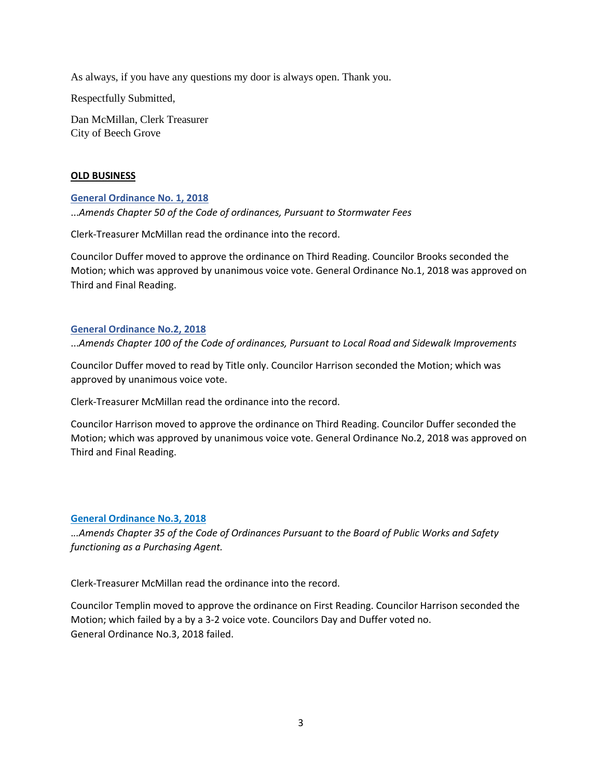As always, if you have any questions my door is always open. Thank you.

Respectfully Submitted,

Dan McMillan, Clerk Treasurer City of Beech Grove

## **OLD BUSINESS**

## **[General Ordinance No. 1, 2018](http://www.beechgrove.com/uploads/1/0/1/2/10129925/genera_ordinance_no.1_2018_amends_chapter_50_sewer_fees.pdf)**

...*Amends Chapter 50 of the Code of ordinances, Pursuant to Stormwater Fees*

Clerk-Treasurer McMillan read the ordinance into the record.

Councilor Duffer moved to approve the ordinance on Third Reading. Councilor Brooks seconded the Motion; which was approved by unanimous voice vote. General Ordinance No.1, 2018 was approved on Third and Final Reading.

## **[General Ordinance No.2, 2018](http://www.beechgrove.com/uploads/1/0/1/2/10129925/general_ordinance_no.2_2018_amend_chapter_100.pdf)**

...*Amends Chapter 100 of the Code of ordinances, Pursuant to Local Road and Sidewalk Improvements*

Councilor Duffer moved to read by Title only. Councilor Harrison seconded the Motion; which was approved by unanimous voice vote.

Clerk-Treasurer McMillan read the ordinance into the record.

Councilor Harrison moved to approve the ordinance on Third Reading. Councilor Duffer seconded the Motion; which was approved by unanimous voice vote. General Ordinance No.2, 2018 was approved on Third and Final Reading.

## **[General Ordinance](http://www.beechgrove.com/uploads/1/0/1/2/10129925/general_ordinance_3_2018.pdf) No.3, 2018**

.*..Amends Chapter 35 of the Code of Ordinances Pursuant to the Board of Public Works and Safety functioning as a Purchasing Agent.*

Clerk-Treasurer McMillan read the ordinance into the record.

Councilor Templin moved to approve the ordinance on First Reading. Councilor Harrison seconded the Motion; which failed by a by a 3-2 voice vote. Councilors Day and Duffer voted no. General Ordinance No.3, 2018 failed.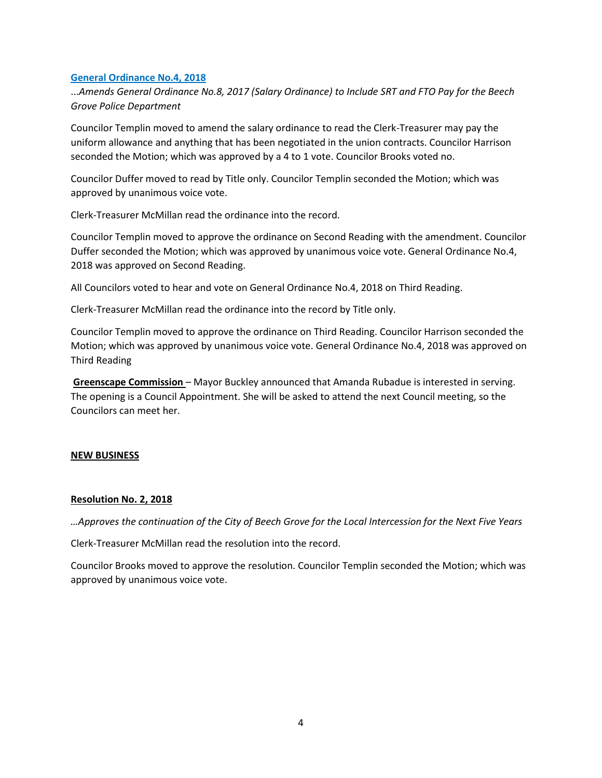## **[General Ordinance No.4, 2018](http://www.beechgrove.com/uploads/1/0/1/2/10129925/general_ordinance_4_2018.pdf)**

...*Amends General Ordinance No.8, 2017 (Salary Ordinance) to Include SRT and FTO Pay for the Beech Grove Police Department*

Councilor Templin moved to amend the salary ordinance to read the Clerk-Treasurer may pay the uniform allowance and anything that has been negotiated in the union contracts. Councilor Harrison seconded the Motion; which was approved by a 4 to 1 vote. Councilor Brooks voted no.

Councilor Duffer moved to read by Title only. Councilor Templin seconded the Motion; which was approved by unanimous voice vote.

Clerk-Treasurer McMillan read the ordinance into the record.

Councilor Templin moved to approve the ordinance on Second Reading with the amendment. Councilor Duffer seconded the Motion; which was approved by unanimous voice vote. General Ordinance No.4, 2018 was approved on Second Reading.

All Councilors voted to hear and vote on General Ordinance No.4, 2018 on Third Reading.

Clerk-Treasurer McMillan read the ordinance into the record by Title only.

Councilor Templin moved to approve the ordinance on Third Reading. Councilor Harrison seconded the Motion; which was approved by unanimous voice vote. General Ordinance No.4, 2018 was approved on Third Reading

**Greenscape Commission** – Mayor Buckley announced that Amanda Rubadue is interested in serving. The opening is a Council Appointment. She will be asked to attend the next Council meeting, so the Councilors can meet her.

#### **NEW BUSINESS**

#### **Resolution No. 2, 2018**

*…Approves the continuation of the City of Beech Grove for the Local Intercession for the Next Five Years*

Clerk-Treasurer McMillan read the resolution into the record.

Councilor Brooks moved to approve the resolution. Councilor Templin seconded the Motion; which was approved by unanimous voice vote.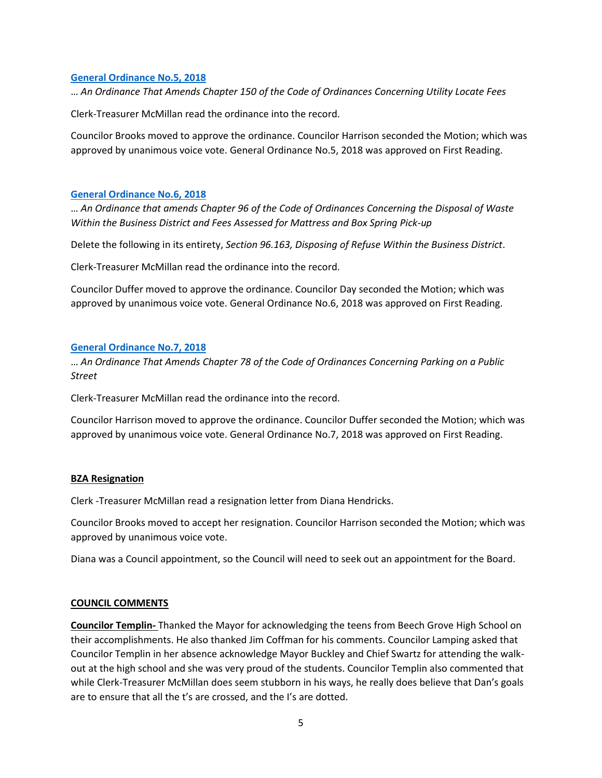## **[General Ordinance No.5, 2018](http://www.beechgrove.com/uploads/1/0/1/2/10129925/general_ordinance_5_2018.pdf)**

… *An Ordinance That Amends Chapter 150 of the Code of Ordinances Concerning Utility Locate Fees*

Clerk-Treasurer McMillan read the ordinance into the record.

Councilor Brooks moved to approve the ordinance. Councilor Harrison seconded the Motion; which was approved by unanimous voice vote. General Ordinance No.5, 2018 was approved on First Reading.

### **[General Ordinance](http://www.beechgrove.com/uploads/1/0/1/2/10129925/general_ordinance_6_2018.pdf) No.6, 2018**

… *An Ordinance that amends Chapter 96 of the Code of Ordinances Concerning the Disposal of Waste Within the Business District and Fees Assessed for Mattress and Box Spring Pick-up*

Delete the following in its entirety, *Section 96.163, Disposing of Refuse Within the Business District*.

Clerk-Treasurer McMillan read the ordinance into the record.

Councilor Duffer moved to approve the ordinance. Councilor Day seconded the Motion; which was approved by unanimous voice vote. General Ordinance No.6, 2018 was approved on First Reading.

## **[General Ordinance No.7, 2018](http://www.beechgrove.com/uploads/1/0/1/2/10129925/general_ordinance_7_2018.pdf)**

… *An Ordinance That Amends Chapter 78 of the Code of Ordinances Concerning Parking on a Public Street*

Clerk-Treasurer McMillan read the ordinance into the record.

Councilor Harrison moved to approve the ordinance. Councilor Duffer seconded the Motion; which was approved by unanimous voice vote. General Ordinance No.7, 2018 was approved on First Reading.

## **BZA Resignation**

Clerk -Treasurer McMillan read a resignation letter from Diana Hendricks.

Councilor Brooks moved to accept her resignation. Councilor Harrison seconded the Motion; which was approved by unanimous voice vote.

Diana was a Council appointment, so the Council will need to seek out an appointment for the Board.

#### **COUNCIL COMMENTS**

**Councilor Templin-** Thanked the Mayor for acknowledging the teens from Beech Grove High School on their accomplishments. He also thanked Jim Coffman for his comments. Councilor Lamping asked that Councilor Templin in her absence acknowledge Mayor Buckley and Chief Swartz for attending the walkout at the high school and she was very proud of the students. Councilor Templin also commented that while Clerk-Treasurer McMillan does seem stubborn in his ways, he really does believe that Dan's goals are to ensure that all the t's are crossed, and the I's are dotted.